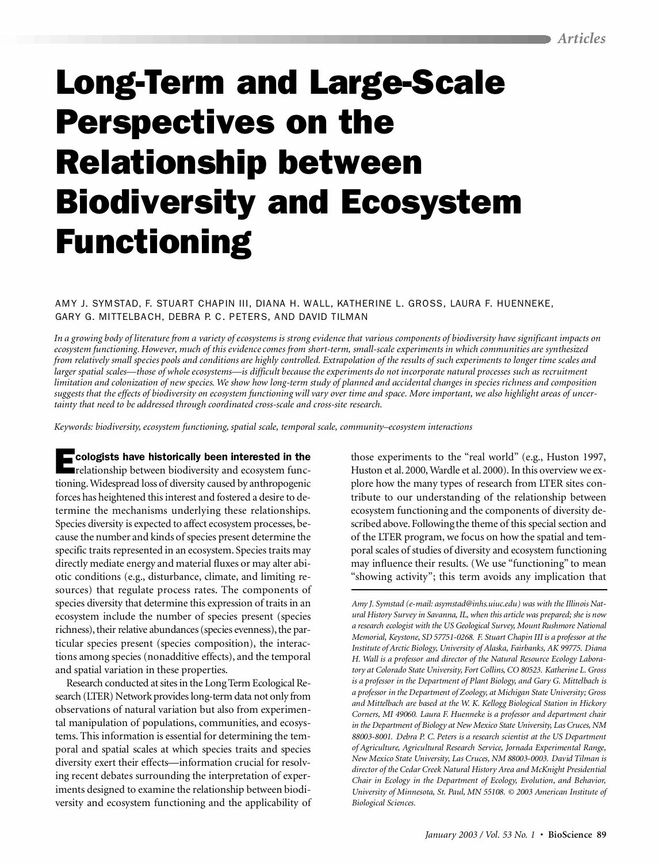# Long-Term and Large-Scale Perspectives on the Relationship between Biodiversity and Ecosystem Functioning

AMY J. SYMSTAD, F. STUART CHAPIN III, DIANA H. WALL, KATHERINE L. GROSS, LAURA F. HUENNEKE, GARY G. MITTELBACH, DEBRA P. C. PETERS, AND DAVID TILMAN

*In a growing body of literature from a variety of ecosystems is strong evidence that various components of biodiversity have significant impacts on ecosystem functioning.However, much of this evidence comes from short-term, small-scale experiments in which communities are synthesized from relatively small species pools and conditions are highly controlled. Extrapolation of the results of such experiments to longer time scales and larger spatial scales—those of whole ecosystems—is difficult because the experiments do not incorporate natural processes such as recruitment limitation and colonization of new species. We show how long-term study of planned and accidental changes in species richness and composition suggests that the effects of biodiversity on ecosystem functioning will vary over time and space. More important, we also highlight areas of uncertainty that need to be addressed through coordinated cross-scale and cross-site research.*

*Keywords: biodiversity, ecosystem functioning, spatial scale, temporal scale, community–ecosystem interactions*

cologists have historically been interested in the relationship between biodiversity and ecosystem funcrelationship between biodiversity and ecosystem functioning.Widespread loss of diversity caused by anthropogenic forces has heightened this interest and fostered a desire to determine the mechanisms underlying these relationships. Species diversity is expected to affect ecosystem processes, be cause the number and kinds of species present determine the specific traits represented in an ecosystem. Species traits may directly mediate energy and material fluxes or may alter abiotic conditions (e.g., disturbance, climate, and limiting resources) that regulate process rates. The components of species diversity that determine this expression of traits in an ecosystem include the number of species present (species richness), their relative abundances (species evenness), the particular species present (species composition), the interactions among species (nonadditive effects), and the temporal and spatial variation in these properties.

Research conducted at sites in the Long Term Ecological Research (LTER) Network provides long-term data not only from observations of natural variation but also from experimental manipulation of populations, communities, and ecosystems. This information is essential for determining the temporal and spatial scales at which species traits and species diversity exert their effects—information crucial for resolving recent debates surrounding the interpretation of experiments designed to examine the relationship between biodiversity and ecosystem functioning and the applicability of those experiments to the "real world" (e.g., Huston 1997, Huston et al. 2000, Wardle et al. 2000). In this overview we explore how the many types of research from LTER sites contribute to our understanding of the relationship between ecosystem functioning and the components of diversity described above. Following the theme of this special section and of the LTER program, we focus on how the spatial and temporal scales of studies of diversity and ecosystem functioning may influence their results. (We use "functioning" to mean "showing activity"; this term avoids any implication that

*Amy J. Symstad (e-mail: asymstad@inhs.uiuc.edu) was with the Illinois Natural History Survey in Savanna, IL, when this article was prepared; she is now a research ecologist with the US Geological Survey, Mount Rushmore National Memorial, Keystone, SD 57751-0268. F. Stuart Chapin III is a professor at the Institute of Arctic Biology, University of Alaska, Fairbanks, AK 99775. Diana H. Wall is a professor and director of the Natural Resource Ecology Laboratory at Colorado State University, Fort Collins, CO 80523. Katherine L. Gross is a professor in the Department of Plant Biology, and Gary G. Mittelbach is a professor in the Department of Zoology, at Michigan State University; Gross and Mittelbach are based at the W. K. Kellogg Biological Station in Hickory Corners, MI 49060. Laura F. Huenneke is a professor and department chair in the Department of Biology at New Mexico State University, Las Cruces, NM 88003-8001. Debra P. C. Peters is a research scientist at the US Department of Agriculture, Agricultural Research Service, Jornada Experimental Range, New Mexico State University, Las Cruces, NM 88003-0003. David Tilman is director of the Cedar Creek Natural History Area and McKnight Presidential Chair in Ecology in the Department of Ecology, Evolution, and Behavior, University of Minnesota, St. Paul, MN 55108. © 2003 American Institute of Biological Sciences.*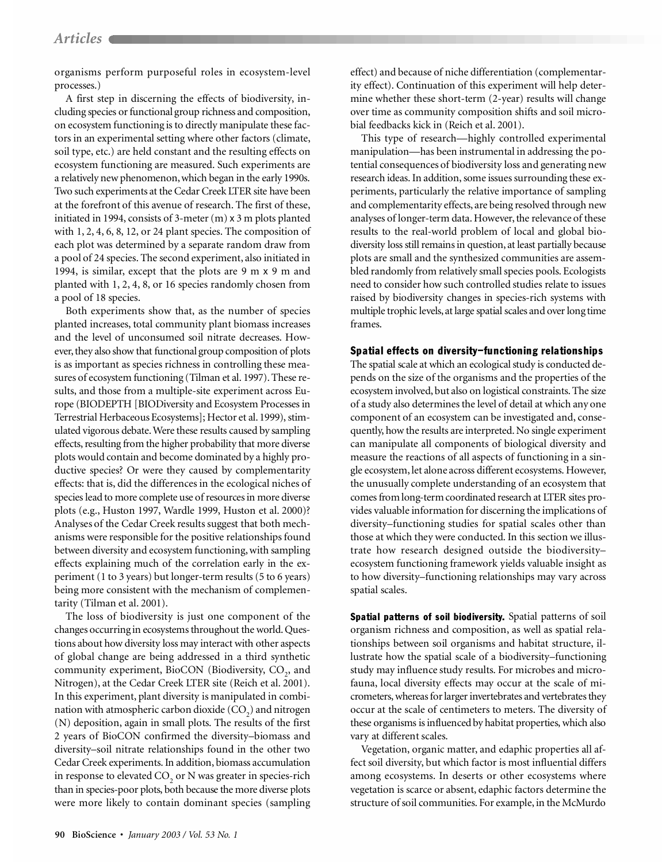organisms perform purposeful roles in ecosystem-level processes.)

A first step in discerning the effects of biodiversity, including species or functional group richness and composition, on ecosystem functioning is to directly manipulate these factors in an experimental setting where other factors (climate, soil type, etc.) are held constant and the resulting effects on ecosystem functioning are measured. Such experiments are a relatively new phenomenon,which began in the early 1990s. Two such experiments at the Cedar Creek LTER site have been at the forefront of this avenue of research. The first of these, initiated in 1994, consists of 3-meter (m) x 3 m plots planted with 1, 2, 4, 6, 8, 12, or 24 plant species. The composition of each plot was determined by a separate random draw from a pool of 24 species. The second experiment, also initiated in 1994, is similar, except that the plots are 9 m x 9 m and planted with 1, 2, 4, 8, or 16 species randomly chosen from a pool of 18 species.

Both experiments show that, as the number of species planted increases, total community plant biomass increases and the level of unconsumed soil nitrate decreases. However, they also show that functional group composition of plots is as important as species richness in controlling these measures of ecosystem functioning (Tilman et al. 1997). These results, and those from a multiple-site experiment across Europe (BIODEPTH [BIODiversity and Ecosystem Processes in Terrestrial Herbaceous Ecosystems]; Hector et al. 1999), stimulated vigorous debate.Were these results caused by sampling effects, resulting from the higher probability that more diverse plots would contain and become dominated by a highly productive species? Or were they caused by complementarity effects: that is, did the differences in the ecological niches of species lead to more complete use of resources in more diverse plots (e.g., Huston 1997, Wardle 1999, Huston et al. 2000)? Analyses of the Cedar Creek results suggest that both mechanisms were responsible for the positive relationships found between diversity and ecosystem functioning, with sampling effects explaining much of the correlation early in the ex periment (1 to 3 years) but longer-term results (5 to 6 years) being more consistent with the mechanism of complementarity (Tilman et al. 2001).

The loss of biodiversity is just one component of the changes occurring in ecosystems throughout the world.Questions about how diversity loss may interact with other aspects of global change are being addressed in a third synthetic community experiment, BioCON (Biodiversity,  $\mathrm{CO}_2^{}$ , and Nitrogen), at the Cedar Creek LTER site (Reich et al. 2001). In this experiment, plant diversity is manipulated in combination with atmospheric carbon dioxide  $(CO<sub>2</sub>)$  and nitrogen (N) deposition, again in small plots. The results of the first 2 years of BioCON confirmed the diversity–biomass and diversity–soil nitrate relationships found in the other two Cedar Creek experiments.In addition, biomass accumulation in response to elevated  $CO<sub>2</sub>$  or N was greater in species-rich than in species-poor plots, both because the more diverse plots were more likely to contain dominant species (sampling

effect) and because of niche differentiation (complementarity effect). Continuation of this experiment will help determine whether these short-term (2-year) results will change over time as community composition shifts and soil microbial feedbacks kick in (Reich et al. 2001).

This type of research—highly controlled experimental manipulation—has been instrumental in addressing the potential consequences of biodiversity loss and generating new research ideas. In addition, some issues surrounding these experiments, particularly the relative importance of sampling and complementarity effects, are being resolved through new analyses of longer-term data. However, the relevance of these results to the real-world problem of local and global biodiversity loss still remains in question, at least partially because plots are small and the synthesized communities are assembled randomly from relatively small species pools. Ecologists need to consider how such controlled studies relate to issues raised by biodiversity changes in species-rich systems with multiple trophic levels, at large spatial scales and over long time frames.

#### Spatial effects on diversity–functioning relationships

The spatial scale at which an ecological study is conducted depends on the size of the organisms and the properties of the ecosystem involved,but also on logistical constraints.The size of a study also determines the level of detail at which any one component of an ecosystem can be investigated and, consequently, how the results are interpreted.No single experiment can manipulate all components of biological diversity and measure the reactions of all aspects of functioning in a single ecosystem, let alone across different ecosystems. However, the unusually complete understanding of an ecosystem that comes from long-term coordinated research at LTER sites provides valuable information for discerning the implications of diversity–functioning studies for spatial scales other than those at which they were conducted. In this section we illustrate how research designed outside the biodiversity– ecosystem functioning framework yields valuable insight as to how diversity–functioning relationships may vary across spatial scales.

Spatial patterns of soil biodiversity. Spatial patterns of soil organism richness and composition, as well as spatial relationships between soil organisms and habitat structure, illustrate how the spatial scale of a biodiversity–functioning study may influence study results. For microbes and microfauna, local diversity effects may occur at the scale of micrometers, whereas for larger invertebrates and vertebrates they occur at the scale of centimeters to meters. The diversity of these organisms is influenced by habitat properties, which also vary at different scales.

Vegetation, organic matter, and edaphic properties all affect soil diversity, but which factor is most influential differs among ecosystems. In deserts or other ecosystems where vegetation is scarce or absent, edaphic factors determine the structure of soil communities. For example, in the McMurdo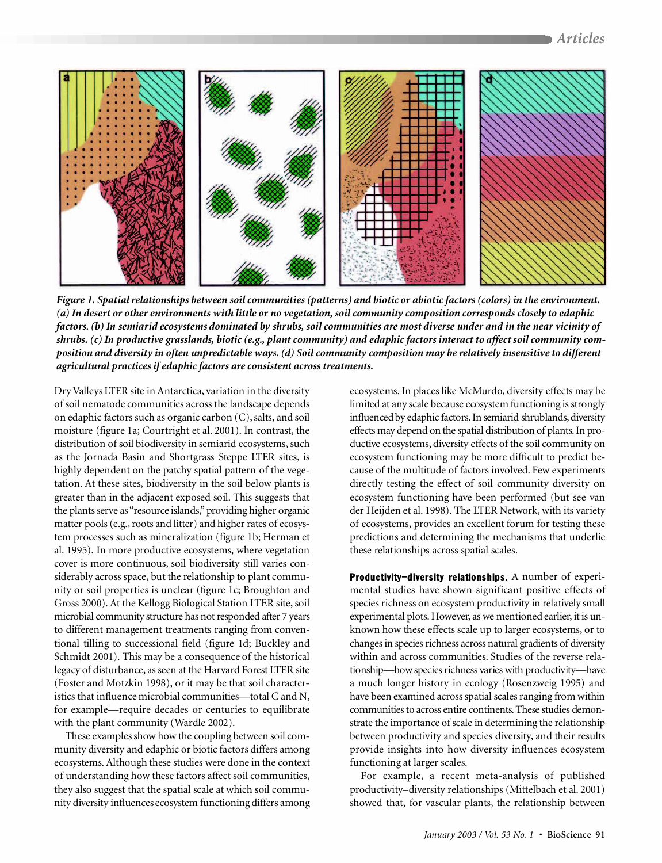

*Figure 1. Spatial relationships between soil communities (patterns) and biotic or abiotic factors (colors) in the environment. (a) In desert or other environments with little or no vegetation, soil community composition corresponds closely to edaphic factors.(b) In semiarid ecosystems dominated by shrubs, soil communities are most diverse under and in the near vicinity of shrubs. (c) In productive grasslands, biotic (e.g., plant community) and edaphic factors interact to affect soil community composition and diversity in often unpredictable ways.(d) Soil community composition may be relatively insensitive to different agricultural practices if edaphic factors are consistent across treatments.*

Dry Valleys LTER site in Antarctica, variation in the diversity of soil nematode communities across the landscape depends on edaphic factors such as organic carbon (C), salts, and soil moisture (figure 1a; Courtright et al. 2001). In contrast, the distribution of soil biodiversity in semiarid ecosystems, such as the Jornada Basin and Shortgrass Steppe LTER sites, is highly dependent on the patchy spatial pattern of the vegetation. At these sites, biodiversity in the soil below plants is greater than in the adjacent exposed soil. This suggests that the plants serve as "resource islands,"providing higher organic matter pools (e.g., roots and litter) and higher rates of ecosystem processes such as mineralization (figure 1b; Herman et al. 1995). In more productive ecosystems, where vegetation cover is more continuous, soil biodiversity still varies considerably across space, but the relationship to plant community or soil properties is unclear (figure 1c; Broughton and Gross 2000). At the Kellogg Biological Station LTER site, soil microbial community structure has not responded after 7 years to different management treatments ranging from conventional tilling to successional field (figure 1d; Buckley and Schmidt 2001). This may be a consequence of the historical legacy of disturbance, as seen at the Harvard Forest LTER site (Foster and Motzkin 1998), or it may be that soil characteristics that influence microbial communities—total C and N, for example—require decades or centuries to equilibrate with the plant community (Wardle 2002).

These examples show how the coupling between soil community diversity and edaphic or biotic factors differs among ecosystems. Although these studies were done in the context of understanding how these factors affect soil communities, they also suggest that the spatial scale at which soil community diversity influences ecosystem functioning differs among ecosystems. In places like McMurdo, diversity effects may be limited at any scale because ecosystem functioning is strongly influenced by edaphic factors. In semiarid shrublands, diversity effects may depend on the spatial distribution of plants.In productive ecosystems, diversity effects of the soil community on ecosystem functioning may be more difficult to predict be cause of the multitude of factors involved. Few experiments directly testing the effect of soil community diversity on ecosystem functioning have been performed (but see van der Heijden et al. 1998). The LTER Network, with its variety of ecosystems, provides an excellent forum for testing these predictions and determining the mechanisms that underlie these relationships across spatial scales.

Productivity-diversity relationships. A number of experimental studies have shown significant positive effects of species richness on ecosystem productivity in relatively small experimental plots. However, as we mentioned earlier, it is unknown how these effects scale up to larger ecosystems, or to changes in species richness across natural gradients of diversity within and across communities. Studies of the reverse relationship—how species richness varies with productivity—have a much longer history in ecology (Rosenzweig 1995) and have been examined across spatial scales ranging from within communities to across entire continents.These studies demonstrate the importance of scale in determining the relationship between productivity and species diversity, and their results provide insights into how diversity influences ecosystem functioning at larger scales.

For example, a recent meta-analysis of published productivity–diversity relationships (Mittelbach et al. 2001) showed that, for vascular plants, the relationship between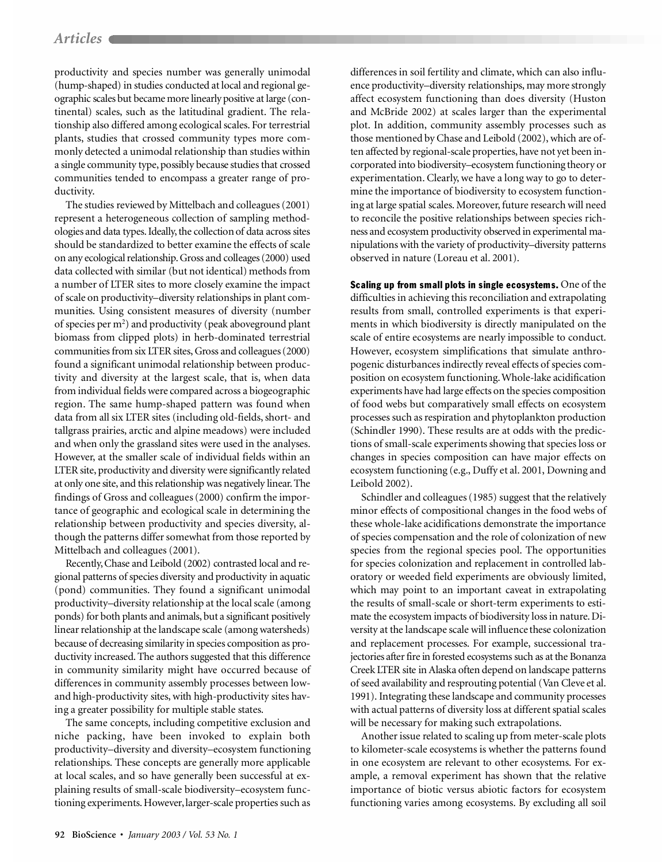productivity and species number was generally unimodal (hump-shaped) in studies conducted at local and regional geographic scales but became more linearly positive at large (continental) scales, such as the latitudinal gradient. The relationship also differed among ecological scales. For terrestrial plants, studies that crossed community types more commonly detected a unimodal relationship than studies within a single community type, possibly because studies that crossed communities tended to encompass a greater range of productivity.

The studies reviewed by Mittelbach and colleagues (2001) represent a heterogeneous collection of sampling methodologies and data types.Ideally,the collection of data across sites should be standardized to better examine the effects of scale on any ecological relationship.Gross and colleages (2000) used data collected with similar (but not identical) methods from a number of LTER sites to more closely examine the impact of scale on productivity–diversity relationships in plant communities. Using consistent measures of diversity (number of species per  $m<sup>2</sup>$ ) and productivity (peak aboveground plant biomass from clipped plots) in herb-dominated terrestrial communities from six LTER sites, Gross and colleagues (2000) found a significant unimodal relationship between productivity and diversity at the largest scale, that is, when data from individual fields were compared across a biogeographic region. The same hump-shaped pattern was found when data from all six LTER sites (including old-fields, short- and tallgrass prairies, arctic and alpine meadows) were included and when only the grassland sites were used in the analyses. However, at the smaller scale of individual fields within an LTER site, productivity and diversity were significantly related at only one site, and this relationship was negatively linear.The findings of Gross and colleagues (2000) confirm the importance of geographic and ecological scale in determining the relationship between productivity and species diversity, although the patterns differ somewhat from those reported by Mittelbach and colleagues (2001).

Recently,Chase and Leibold (2002) contrasted local and regional patterns of species diversity and productivity in aquatic (pond) communities. They found a significant unimodal productivity–diversity relationship at the local scale (among ponds) for both plants and animals, but a significant positively linear relationship at the landscape scale (among watersheds) because of decreasing similarity in species composition as productivity increased.The authors suggested that this difference in community similarity might have occurred because of differences in community assembly processes between lowand high-productivity sites, with high-productivity sites having a greater possibility for multiple stable states.

The same concepts, including competitive exclusion and niche packing, have been invoked to explain both productivity–diversity and diversity–ecosystem functioning relationships. These concepts are generally more applicable at local scales, and so have generally been successful at ex plaining results of small-scale biodiversity–ecosystem functioning experiments.However,larger-scale properties such as

differences in soil fertility and climate, which can also influence productivity–diversity relationships, may more strongly affect ecosystem functioning than does diversity (Huston and McBride 2002) at scales larger than the experimental plot. In addition, community assembly processes such as those mentioned by Chase and Leibold (2002), which are often affected by regional-scale properties, have not yet been incorporated into biodiversity–ecosystem functioning theory or experimentation. Clearly, we have a long way to go to determine the importance of biodiversity to ecosystem functioning at large spatial scales. Moreover, future research will need to reconcile the positive relationships between species richness and ecosystem productivity observed in experimental manipulations with the variety of productivity–diversity patterns observed in nature (Loreau et al. 2001).

Scaling up from small plots in single ecosystems. One of the difficulties in achieving this reconciliation and extrapolating results from small, controlled experiments is that experiments in which biodiversity is directly manipulated on the scale of entire ecosystems are nearly impossible to conduct. However, ecosystem simplifications that simulate anthropogenic disturbances indirectly reveal effects of species composition on ecosystem functioning.Whole-lake acidification experiments have had large effects on the species composition of food webs but comparatively small effects on ecosystem processes such as respiration and phytoplankton production (Schindler 1990). These results are at odds with the predictions of small-scale experiments showing that species loss or changes in species composition can have major effects on ecosystem functioning (e.g., Duffy et al. 2001, Downing and Leibold 2002).

Schindler and colleagues (1985) suggest that the relatively minor effects of compositional changes in the food webs of these whole-lake acidifications demonstrate the importance of species compensation and the role of colonization of new species from the regional species pool. The opportunities for species colonization and replacement in controlled laboratory or weeded field experiments are obviously limited, which may point to an important caveat in extrapolating the results of small-scale or short-term experiments to estimate the ecosystem impacts of biodiversity loss in nature.Diversity at the landscape scale will influence these colonization and replacement processes. For example, successional trajectories after fire in forested ecosystems such as at the Bonanza Creek LTER site in Alaska often depend on landscape patterns of seed availability and resprouting potential (Van Cleve et al. 1991). Integrating these landscape and community processes with actual patterns of diversity loss at different spatial scales will be necessary for making such extrapolations.

Another issue related to scaling up from meter-scale plots to kilometer-scale ecosystems is whether the patterns found in one ecosystem are relevant to other ecosystems. For ex ample, a removal experiment has shown that the relative importance of biotic versus abiotic factors for ecosystem functioning varies among ecosystems. By excluding all soil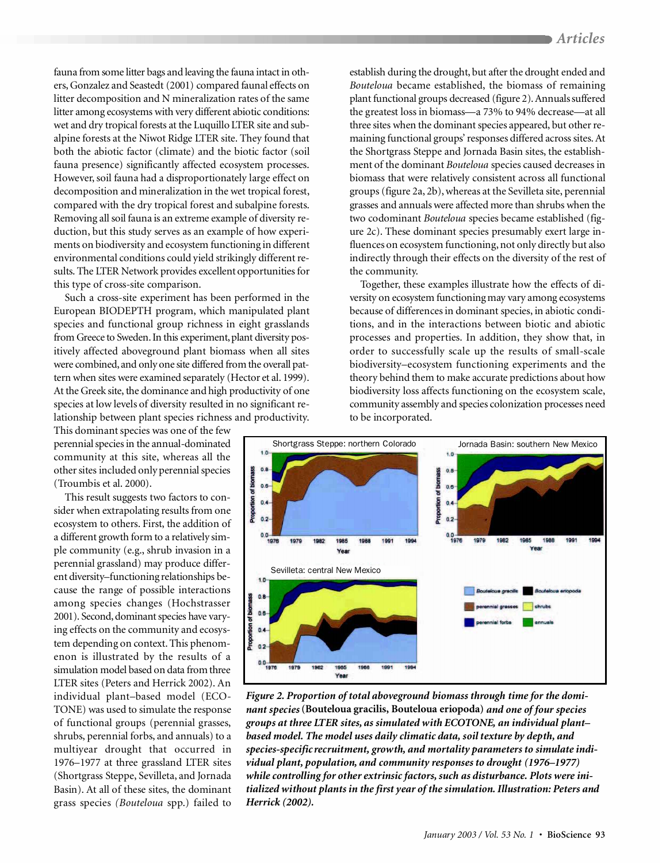fauna from some litter bags and leaving the fauna intact in others, Gonzalez and Seastedt (2001) compared faunal effects on litter decomposition and N mineralization rates of the same litter among ecosystems with very different abiotic conditions: wet and dry tropical forests at the Luquillo LTER site and subalpine forests at the Niwot Ridge LTER site. They found that both the abiotic factor (climate) and the biotic factor (soil fauna presence) significantly affected ecosystem processes. However, soil fauna had a disproportionately large effect on decomposition and mineralization in the wet tropical forest, compared with the dry tropical forest and subalpine forests. Removing all soil fauna is an extreme example of diversity reduction, but this study serves as an example of how experiments on biodiversity and ecosystem functioning in different environmental conditions could yield strikingly different results. The LTER Network provides excellent opportunities for this type of cross-site comparison.

Such a cross-site experiment has been performed in the European BIODEPTH program, which manipulated plant species and functional group richness in eight grasslands from Greece to Sweden. In this experiment, plant diversity positively affected aboveground plant biomass when all sites were combined, and only one site differed from the overall pattern when sites were examined separately (Hector et al. 1999). At the Greek site, the dominance and high productivity of one species at low levels of diversity resulted in no significant relationship between plant species richness and productivity.

This dominant species was one of the few perennial species in the annual-dominated community at this site, whereas all the other sites included only perennial species (Troumbis et al. 2000).

This result suggests two factors to consider when extrapolating results from one ecosystem to others. First, the addition of a different growth form to a relatively simple community (e.g., shrub invasion in a perennial grassland) may produce different diversity–functioning relationships be cause the range of possible interactions among species changes (Hochstrasser 2001). Second, dominant species have varying effects on the community and ecosystem depending on context.This phenomenon is illustrated by the results of a simulation model based on data from three LTER sites (Peters and Herrick 2002). An individual plant–based model (ECO-TONE) was used to simulate the response of functional groups (perennial grasses, shrubs, perennial forbs, and annuals) to a multiyear drought that occurred in 1976–1977 at three grassland LTER sites (Shortgrass Steppe, Sevilleta, and Jornada Basin). At all of these sites, the dominant grass species *(Bouteloua* spp.) failed to

establish during the drought, but after the drought ended and *Bouteloua* became established, the biomass of remaining plant functional groups decreased (figure 2).Annuals suffered the greatest loss in biomass—a 73% to 94% decrease—at all three sites when the dominant species appeared, but other remaining functional groups'responses differed across sites.At the Shortgrass Steppe and Jornada Basin sites, the establishment of the dominant *Bouteloua* species caused decreases in biomass that were relatively consistent across all functional groups (figure 2a, 2b),whereas at the Sevilleta site, perennial grasses and annuals were affected more than shrubs when the two codominant *Bouteloua* species became established (figure 2c). These dominant species presumably exert large influences on ecosystem functioning, not only directly but also indirectly through their effects on the diversity of the rest of the community.

Together, these examples illustrate how the effects of diversity on ecosystem functioning may vary among ecosystems because of differences in dominant species, in abiotic conditions, and in the interactions between biotic and abiotic processes and properties. In addition, they show that, in order to successfully scale up the results of small-scale biodiversity–ecosystem functioning experiments and the theory behind them to make accurate predictions about how biodiversity loss affects functioning on the ecosystem scale, community assembly and species colonization processes need to be incorporated.



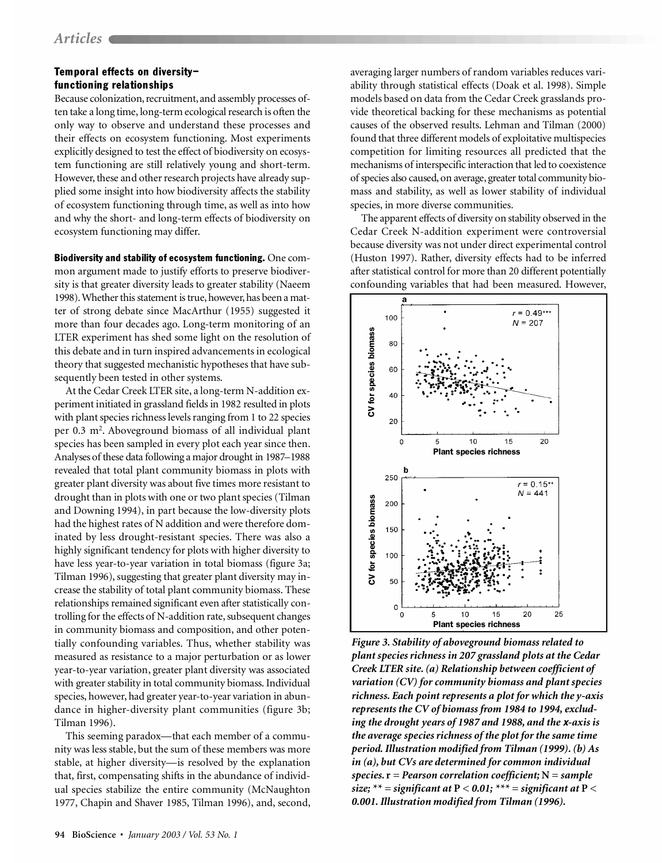### Temporal effects on diversity– functioning relationships

Because colonization, recruitment, and assembly processes often take a long time, long-term ecological research is often the only way to observe and understand these processes and their effects on ecosystem functioning. Most experiments explicitly designed to test the effect of biodiversity on ecosystem functioning are still relatively young and short-term. However, these and other research projects have already supplied some insight into how biodiversity affects the stability of ecosystem functioning through time, as well as into how and why the short- and long-term effects of biodiversity on ecosystem functioning may differ.

Biodiversity and stability of ecosystem functioning. One common argument made to justify efforts to preserve biodiversity is that greater diversity leads to greater stability (Naeem 1998). Whether this statement is true, however, has been a matter of strong debate since MacArthur (1955) suggested it more than four decades ago. Long-term monitoring of an LTER experiment has shed some light on the resolution of this debate and in turn inspired advancements in ecological theory that suggested mechanistic hypotheses that have subsequently been tested in other systems.

At the Cedar Creek LTER site, a long-term N-addition ex periment initiated in grassland fields in 1982 resulted in plots with plant species richness levels ranging from 1 to 22 species per 0.3 m<sup>2</sup> . Aboveground biomass of all individual plant species has been sampled in every plot each year since then. Analyses of these data following a major drought in 1987–1988 revealed that total plant community biomass in plots with greater plant diversity was about five times more resistant to drought than in plots with one or two plant species (Tilman and Downing 1994), in part because the low-diversity plots had the highest rates of N addition and were therefore dominated by less drought-resistant species. There was also a highly significant tendency for plots with higher diversity to have less year-to-year variation in total biomass (figure 3a; Tilman 1996), suggesting that greater plant diversity may increase the stability of total plant community biomass. These relationships remained significant even after statistically controlling for the effects of N-addition rate, subsequent changes in community biomass and composition, and other potentially confounding variables. Thus, whether stability was measured as resistance to a major perturbation or as lower year-to-year variation, greater plant diversity was associated with greater stability in total community biomass. Individual species, however, had greater year-to-year variation in abundance in higher-diversity plant communities (figure 3b; Tilman 1996).

This seeming paradox—that each member of a community was less stable, but the sum of these members was more stable, at higher diversity—is resolved by the explanation that, first, compensating shifts in the abundance of individual species stabilize the entire community (McNaughton 1977, Chapin and Shaver 1985, Tilman 1996), and, second, averaging larger numbers of random variables reduces variability through statistical effects (Doak et al. 1998). Simple models based on data from the Cedar Creek grasslands provide theoretical backing for these mechanisms as potential causes of the observed results. Lehman and Tilman (2000) found that three different models of exploitative multispecies competition for limiting resources all predicted that the mechanisms of interspecific interaction that led to coexistence of species also caused, on average, greater total community biomass and stability, as well as lower stability of individual species, in more diverse communities.

The apparent effects of diversity on stability observed in the Cedar Creek N-addition experiment were controversial because diversity was not under direct experimental control (Huston 1997). Rather, diversity effects had to be inferred after statistical control for more than 20 different potentially confounding variables that had been measured. However,



*Figure 3. Stability of aboveground biomass related to plant species richness in 207 grassland plots at the Cedar Creek LTER site.(a) Relationship between coefficient of variation (CV) for community biomass and plant species richness. Each point represents a plot for which the y-axis represents the CV of biomass from 1984 to 1994, excluding the drought years of 1987 and 1988, and the x-axis is the average species richness of the plot for the same time period. Illustration modified from Tilman (1999).(b) As in (a), but CVs are determined for common individual species.***r** *= Pearson correlation coefficient;* **N** *= sample size*; \*\* = *significant at*  $P < 0.01$ ; \*\*\* = *significant at*  $P <$ *0.001. Illustration modified from Tilman (1996).*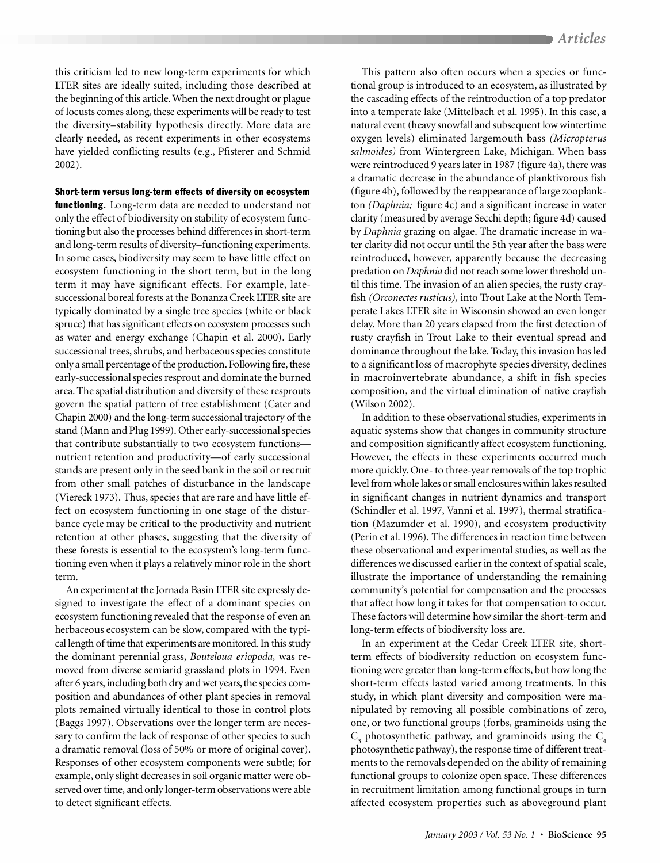this criticism led to new long-term experiments for which LTER sites are ideally suited, including those described at the beginning of this article.When the next drought or plague of locusts comes along,these experiments will be ready to test the diversity–stability hypothesis directly. More data are clearly needed, as recent experiments in other ecosystems have yielded conflicting results (e.g., Pfisterer and Schmid 2002).

Short-term versus long-term effects of diversity on ecosystem functioning. Long-term data are needed to understand not only the effect of biodiversity on stability of ecosystem functioning but also the processes behind differences in short-term and long-term results of diversity–functioning experiments. In some cases, biodiversity may seem to have little effect on ecosystem functioning in the short term, but in the long term it may have significant effects. For example, latesuccessional boreal forests at the Bonanza Creek LTER site are typically dominated by a single tree species (white or black spruce) that has significant effects on ecosystem processes such as water and energy exchange (Chapin et al. 2000). Early successional trees, shrubs, and herbaceous species constitute only a small percentage of the production. Following fire, these early-successional species resprout and dominate the burned area.The spatial distribution and diversity of these resprouts govern the spatial pattern of tree establishment (Cater and Chapin 2000) and the long-term successional trajectory of the stand (Mann and Plug 1999). Other early-successional species that contribute substantially to two ecosystem functions nutrient retention and productivity—of early successional stands are present only in the seed bank in the soil or recruit from other small patches of disturbance in the landscape (Viereck 1973). Thus, species that are rare and have little effect on ecosystem functioning in one stage of the disturbance cycle may be critical to the productivity and nutrient retention at other phases, suggesting that the diversity of these forests is essential to the ecosystem's long-term functioning even when it plays a relatively minor role in the short term.

An experiment at the Jornada Basin LTER site expressly designed to investigate the effect of a dominant species on ecosystem functioning revealed that the response of even an herbaceous ecosystem can be slow, compared with the typical length of time that experiments are monitored.In this study the dominant perennial grass, *Bouteloua eriopoda,* was removed from diverse semiarid grassland plots in 1994. Even after 6 years, including both dry and wet years, the species composition and abundances of other plant species in removal plots remained virtually identical to those in control plots (Baggs 1997). Observations over the longer term are necessary to confirm the lack of response of other species to such a dramatic removal (loss of 50% or more of original cover). Responses of other ecosystem components were subtle; for example, only slight decreases in soil organic matter were observed over time, and only longer-term observations were able to detect significant effects.

This pattern also often occurs when a species or functional group is introduced to an ecosystem, as illustrated by the cascading effects of the reintroduction of a top predator into a temperate lake (Mittelbach et al. 1995). In this case, a natural event (heavy snowfall and subsequent low wintertime oxygen levels) eliminated largemouth bass *(Micropterus salmoides)* from Wintergreen Lake, Michigan. When bass were reintroduced 9 years later in 1987 (figure 4a), there was a dramatic decrease in the abundance of planktivorous fish (figure 4b), followed by the reappearance of large zooplankton *(Daphnia;* figure 4c) and a significant increase in water clarity (measured by average Secchi depth; figure 4d) caused by *Daphnia* grazing on algae. The dramatic increase in water clarity did not occur until the 5th year after the bass were reintroduced, however, apparently because the decreasing predation on *Daphnia* did not reach some lower threshold until this time. The invasion of an alien species, the rusty crayfish *(Orconectes rusticus),* into Trout Lake at the North Temperate Lakes LTER site in Wisconsin showed an even longer delay. More than 20 years elapsed from the first detection of rusty crayfish in Trout Lake to their eventual spread and dominance throughout the lake. Today, this invasion has led to a significant loss of macrophyte species diversity, declines in macroinvertebrate abundance, a shift in fish species composition, and the virtual elimination of native crayfish (Wilson 2002).

In addition to these observational studies, experiments in aquatic systems show that changes in community structure and composition significantly affect ecosystem functioning. However, the effects in these experiments occurred much more quickly.One- to three-year removals of the top trophic level from whole lakes or small enclosures within lakes resulted in significant changes in nutrient dynamics and transport (Schindler et al. 1997, Vanni et al. 1997), thermal stratification (Mazumder et al. 1990), and ecosystem productivity (Perin et al. 1996). The differences in reaction time between these observational and experimental studies, as well as the differences we discussed earlier in the context of spatial scale, illustrate the importance of understanding the remaining community's potential for compensation and the processes that affect how long it takes for that compensation to occur. These factors will determine how similar the short-term and long-term effects of biodiversity loss are.

In an experiment at the Cedar Creek LTER site, shortterm effects of biodiversity reduction on ecosystem functioning were greater than long-term effects, but how long the short-term effects lasted varied among treatments. In this study, in which plant diversity and composition were manipulated by removing all possible combinations of zero, one, or two functional groups (forbs, graminoids using the  $C_3$  photosynthetic pathway, and graminoids using the  $C_4$  photosynthetic pathway), the response time of different treatments to the removals depended on the ability of remaining functional groups to colonize open space. These differences in recruitment limitation among functional groups in turn affected ecosystem properties such as aboveground plant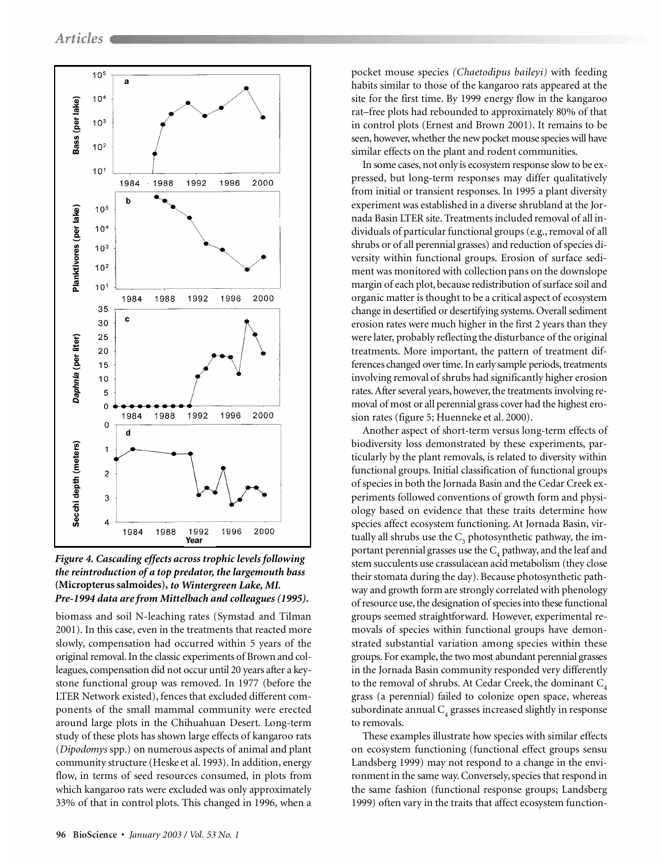

*Figure 4. Cascading effects across trophic levels following the reintroduction of a top predator, the largemouth bass* **(Micropterus salmoides),** *to Wintergreen Lake, MI. Pre-1994 data are from Mittelbach and colleagues (1995).*

biomass and soil N-leaching rates (Symstad and Tilman 2001). In this case, even in the treatments that reacted more slowly, compensation had occurred within 5 years of the original removal.In the classic experiments of Brown and colleagues, compensation did not occur until 20 years after a keystone functional group was removed. In 1977 (before the LTER Network existed), fences that excluded different components of the small mammal community were erected around large plots in the Chihuahuan Desert. Long-term study of these plots has shown large effects of kangaroo rats (*Dipodomys* spp.) on numerous aspects of animal and plant community structure (Heske et al. 1993). In addition, energy flow, in terms of seed resources consumed, in plots from which kangaroo rats were excluded was only approximately 33% of that in control plots. This changed in 1996, when a

pocket mouse species *(Chaetodipus baileyi)* with feeding habits similar to those of the kangaroo rats appeared at the site for the first time. By 1999 energy flow in the kangaroo rat–free plots had rebounded to approximately 80% of that in control plots (Ernest and Brown 2001). It remains to be seen, however, whether the new pocket mouse species will have similar effects on the plant and rodent communities.

In some cases, not only is ecosystem response slow to be ex pressed, but long-term responses may differ qualitatively from initial or transient responses. In 1995 a plant diversity experiment was established in a diverse shrubland at the Jornada Basin LTER site. Treatments included removal of all individuals of particular functional groups (e.g., removal of all shrubs or of all perennial grasses) and reduction of species diversity within functional groups. Erosion of surface sediment was monitored with collection pans on the downslope margin of each plot, because redistribution of surface soil and organic matter is thought to be a critical aspect of ecosystem change in desertified or desertifying systems. Overall sediment erosion rates were much higher in the first 2 years than they were later, probably reflecting the disturbance of the original treatments. More important, the pattern of treatment differences changed over time. In early sample periods, treatments involving removal of shrubs had significantly higher erosion rates. After several years, however, the treatments involving removal of most or all perennial grass cover had the highest erosion rates (figure 5; Huenneke et al. 2000).

Another aspect of short-term versus long-term effects of biodiversity loss demonstrated by these experiments, particularly by the plant removals, is related to diversity within functional groups. Initial classification of functional groups of species in both the Jornada Basin and the Cedar Creek ex periments followed conventions of growth form and physiology based on evidence that these traits determine how species affect ecosystem functioning. At Jornada Basin, virtually all shrubs use the  $C_3$  photosynthetic pathway, the important perennial grasses use the  $C_4$  pathway, and the leaf and stem succulents use crassulacean acid metabolism (they close their stomata during the day). Because photosynthetic pathway and growth form are strongly correlated with phenology of resource use, the designation of species into these functional groups seemed straightforward. However, experimental removals of species within functional groups have demonstrated substantial variation among species within these groups. For example, the two most abundant perennial grasses in the Jornada Basin community responded very differently to the removal of shrubs. At Cedar Creek, the dominant  $C_4$  grass (a perennial) failed to colonize open space, whereas subordinate annual  $C_4$  grasses increased slightly in response to removals.

These examples illustrate how species with similar effects on ecosystem functioning (functional effect groups sensu Landsberg 1999) may not respond to a change in the environment in the same way. Conversely, species that respond in the same fashion (functional response groups; Landsberg 1999) often vary in the traits that affect ecosystem function-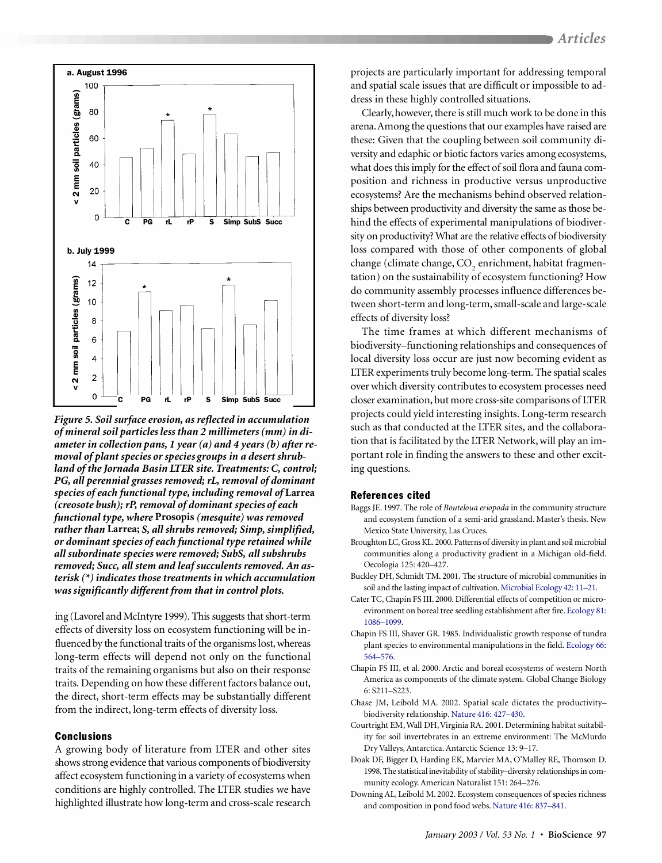

*Figure 5. Soil surface erosion, as reflected in accumulation of mineral soil particles less than 2 millimeters (mm) in diameter in collection pans, 1 year (a) and 4 years (b) after removal of plant species or species groups in a desert shrubland of the Jornada Basin LTER site. Treatments: C, control; PG, all perennial grasses removed; rL, removal of dominant species of each functional type, including removal of* **Larrea** *(creosote bush); rP, removal of dominant species of each functional type,where* **Prosopis** *(mesquite) was removed rather than* **Larrea;** *S, all shrubs removed; Simp, simplified, or dominant species of each functional type retained while all subordinate species were removed; SubS, all subshrubs removed; Succ, all stem and leaf succulents removed. An asterisk (\*) indicates those treatments in which accumulation was significantly different from that in control plots.*

ing (Lavorel and McIntyre 1999). This suggests that short-term effects of diversity loss on ecosystem functioning will be influenced by the functional traits of the organisms lost, whereas long-term effects will depend not only on the functional traits of the remaining organisms but also on their response traits. Depending on how these different factors balance out, the direct, short-term effects may be substantially different from the indirect, long-term effects of diversity loss.

#### Conclusions

A growing body of literature from LTER and other sites shows strong evidence that various components of biodiversity affect ecosystem functioning in a variety of ecosystems when conditions are highly controlled. The LTER studies we have highlighted illustrate how long-term and cross-scale research

projects are particularly important for addressing temporal and spatial scale issues that are difficult or impossible to address in these highly controlled situations.

Clearly, however, there is still much work to be done in this arena.Among the questions that our examples have raised are these: Given that the coupling between soil community diversity and edaphic or biotic factors varies among ecosystems, what does this imply for the effect of soil flora and fauna composition and richness in productive versus unproductive ecosystems? Are the mechanisms behind observed relationships between productivity and diversity the same as those behind the effects of experimental manipulations of biodiversity on productivity? What are the relative effects of biodiversity loss compared with those of other components of global change (climate change, CO<sub>2</sub> enrichment, habitat fragmentation) on the sustainability of ecosystem functioning? How do community assembly processes influence differences between short-term and long-term, small-scale and large-scale effects of diversity loss?

The time frames at which different mechanisms of biodiversity–functioning relationships and consequences of local diversity loss occur are just now becoming evident as LTER experiments truly become long-term.The spatial scales over which diversity contributes to ecosystem processes need closer examination, but more cross-site comparisons of LTER projects could yield interesting insights. Long-term research such as that conducted at the LTER sites, and the collaboration that is facilitated by the LTER Network,will play an important role in finding the answers to these and other exciting questions.

#### References cited

- Baggs JE. 1997. The role of *Bouteloua eriopoda* in the community structure and ecosystem function of a semi-arid grassland. Master's thesis. New Mexico State University, Las Cruces.
- Broughton LC, Gross KL. 2000. Patterns of diversity in plant and soil microbial communities along a productivity gradient in a Michigan old-field. Oecologia 125: 420–427.
- Buckley DH, Schmidt TM. 2001. The structure of microbial communities in soil and the lasting impact of cultivation. [Microbial Ecology 42:](http://lucia.ingentaselect.com/nw=1/rpsv/cgi-bin/linker?ext=a&reqidx=/0095-3628^28^2942L.11[aid=3402219]) 11-21.
- Cater TC,Chapin FS III. 2000. Differential effects of competition or microevironment on boreal tree seedling establishment after fire. [Ecology 81:](http://lucia.ingentaselect.com/nw=1/rpsv/cgi-bin/linker?ext=a&reqidx=/0012-9658^28^2981L.1086[aid=3402220]) [1086–1099.](http://lucia.ingentaselect.com/nw=1/rpsv/cgi-bin/linker?ext=a&reqidx=/0012-9658^28^2981L.1086[aid=3402220])
- Chapin FS III, Shaver GR. 1985. Individualistic growth response of tundra plant species to environmental manipulations in the field. [Ecology 66:](http://lucia.ingentaselect.com/nw=1/rpsv/cgi-bin/linker?ext=a&reqidx=/0012-9658^28^2966L.564[aid=657199]) [564–576.](http://lucia.ingentaselect.com/nw=1/rpsv/cgi-bin/linker?ext=a&reqidx=/0012-9658^28^2966L.564[aid=657199])
- Chapin FS III, et al. 2000. Arctic and boreal ecosystems of western North America as components of the climate system. Global Change Biology 6: S211–S223.
- Chase JM, Leibold MA. 2002. Spatial scale dictates the productivity– biodiversity relationship. [Nature 416:](http://lucia.ingentaselect.com/nw=1/rpsv/cgi-bin/linker?ext=a&reqidx=/0028-0836^28^29416L.427[aid=3402221]) 427–430.
- Courtright EM,Wall DH,Virginia RA. 2001. Determining habitat suitability for soil invertebrates in an extreme environment: The McMurdo Dry Valleys, Antarctica.Antarctic Science 13: 9–17.
- Doak DF, Bigger D, Harding EK, Marvier MA, O'Malley RE, Thomson D. 1998.The statistical inevitability of stability–diversity relationships in com munity ecology.American Naturalist 151: 264–276.
- Downing AL, Leibold M. 2002. Ecosystem consequences of species richness and composition in pond food webs. [Nature 416:](http://lucia.ingentaselect.com/nw=1/rpsv/cgi-bin/linker?ext=a&reqidx=/0028-0836^28^29416L.837[aid=3402224]) 837–841.